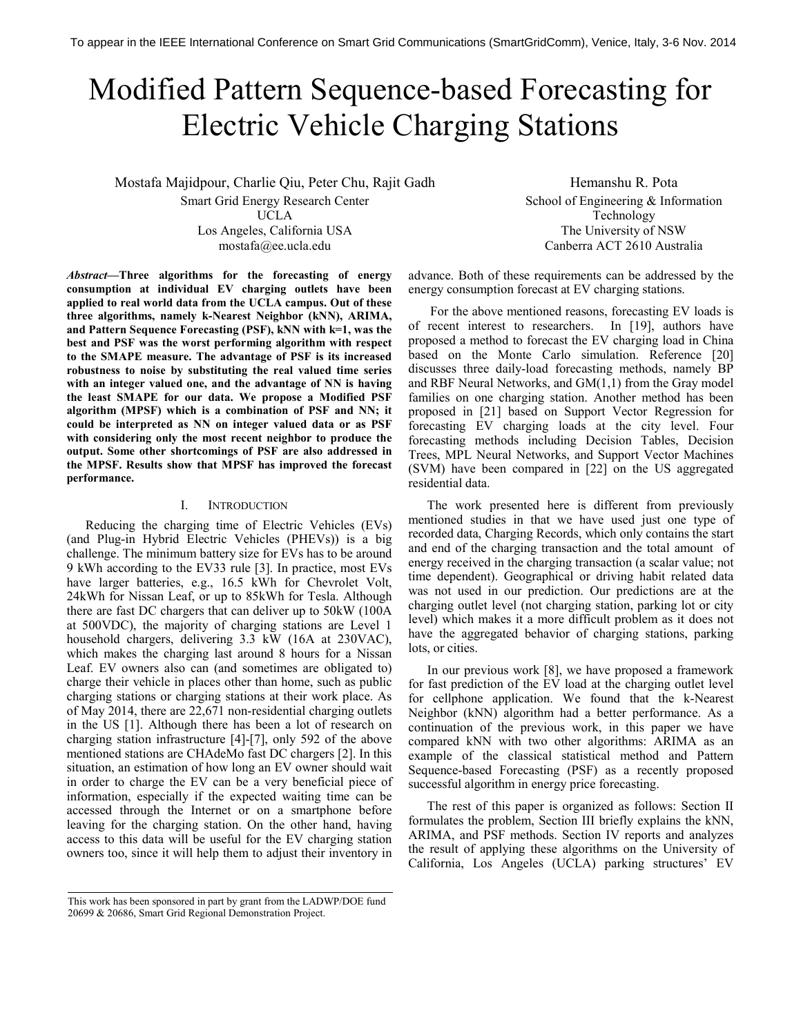# Modified Pattern Sequence-based Forecasting for Electric Vehicle Charging Stations

Mostafa Majidpour, Charlie Qiu, Peter Chu, Rajit Gadh Smart Grid Energy Research Center UCLA Los Angeles, California USA mostafa@ee.ucla.edu

Hemanshu R. Pota School of Engineering & Information Technology The University of NSW Canberra ACT 2610 Australia

*Abstract***—Three algorithms for the forecasting of energy consumption at individual EV charging outlets have been applied to real world data from the UCLA campus. Out of these three algorithms, namely k-Nearest Neighbor (kNN), ARIMA, and Pattern Sequence Forecasting (PSF), kNN with k=1, was the best and PSF was the worst performing algorithm with respect to the SMAPE measure. The advantage of PSF is its increased robustness to noise by substituting the real valued time series with an integer valued one, and the advantage of NN is having the least SMAPE for our data. We propose a Modified PSF algorithm (MPSF) which is a combination of PSF and NN; it could be interpreted as NN on integer valued data or as PSF with considering only the most recent neighbor to produce the output. Some other shortcomings of PSF are also addressed in the MPSF. Results show that MPSF has improved the forecast performance.** 

## I. INTRODUCTION

Reducing the charging time of Electric Vehicles (EVs) (and Plug-in Hybrid Electric Vehicles (PHEVs)) is a big challenge. The minimum battery size for EVs has to be around 9 kWh according to the EV33 rule [3]. In practice, most EVs have larger batteries, e.g., 16.5 kWh for Chevrolet Volt, 24kWh for Nissan Leaf, or up to 85kWh for Tesla. Although there are fast DC chargers that can deliver up to 50kW (100A at 500VDC), the majority of charging stations are Level 1 household chargers, delivering 3.3 kW (16A at 230VAC), which makes the charging last around 8 hours for a Nissan Leaf. EV owners also can (and sometimes are obligated to) charge their vehicle in places other than home, such as public charging stations or charging stations at their work place. As of May 2014, there are 22,671 non-residential charging outlets in the US [1]. Although there has been a lot of research on charging station infrastructure [4]-[7], only 592 of the above mentioned stations are CHAdeMo fast DC chargers [2]. In this situation, an estimation of how long an EV owner should wait in order to charge the EV can be a very beneficial piece of information, especially if the expected waiting time can be accessed through the Internet or on a smartphone before leaving for the charging station. On the other hand, having access to this data will be useful for the EV charging station owners too, since it will help them to adjust their inventory in

 For the above mentioned reasons, forecasting EV loads is of recent interest to researchers. In [19], authors have proposed a method to forecast the EV charging load in China based on the Monte Carlo simulation. Reference [20] discusses three daily-load forecasting methods, namely BP and RBF Neural Networks, and GM(1,1) from the Gray model families on one charging station. Another method has been proposed in [21] based on Support Vector Regression for forecasting EV charging loads at the city level. Four forecasting methods including Decision Tables, Decision Trees, MPL Neural Networks, and Support Vector Machines (SVM) have been compared in [22] on the US aggregated residential data.

advance. Both of these requirements can be addressed by the

energy consumption forecast at EV charging stations.

The work presented here is different from previously mentioned studies in that we have used just one type of recorded data, Charging Records, which only contains the start and end of the charging transaction and the total amount of energy received in the charging transaction (a scalar value; not time dependent). Geographical or driving habit related data was not used in our prediction. Our predictions are at the charging outlet level (not charging station, parking lot or city level) which makes it a more difficult problem as it does not have the aggregated behavior of charging stations, parking lots, or cities.

In our previous work [8], we have proposed a framework for fast prediction of the EV load at the charging outlet level for cellphone application. We found that the k-Nearest Neighbor (kNN) algorithm had a better performance. As a continuation of the previous work, in this paper we have compared kNN with two other algorithms: ARIMA as an example of the classical statistical method and Pattern Sequence-based Forecasting (PSF) as a recently proposed successful algorithm in energy price forecasting.

The rest of this paper is organized as follows: Section II formulates the problem, Section III briefly explains the kNN, ARIMA, and PSF methods. Section IV reports and analyzes the result of applying these algorithms on the University of California, Los Angeles (UCLA) parking structures' EV

This work has been sponsored in part by grant from the LADWP/DOE fund 20699 & 20686, Smart Grid Regional Demonstration Project.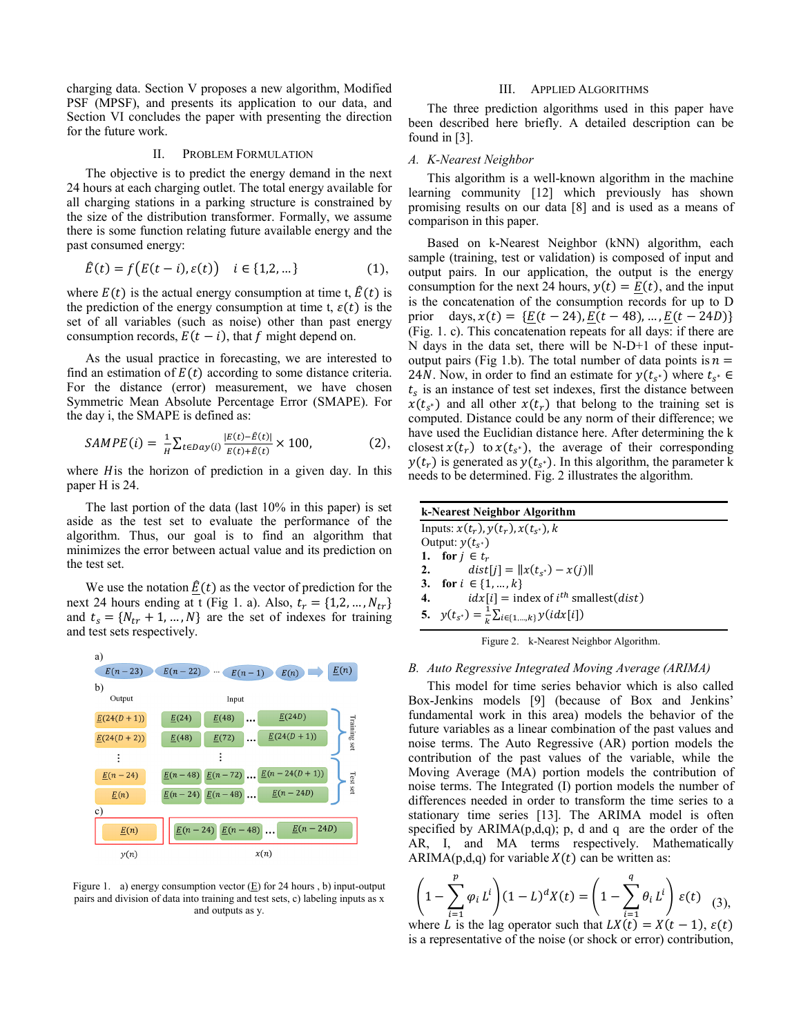charging data. Section V proposes a new algorithm, Modified PSF (MPSF), and presents its application to our data, and Section VI concludes the paper with presenting the direction for the future work.

## II. PROBLEM FORMULATION

The objective is to predict the energy demand in the next 24 hours at each charging outlet. The total energy available for all charging stations in a parking structure is constrained by the size of the distribution transformer. Formally, we assume there is some function relating future available energy and the past consumed energy:

$$
\hat{E}(t) = f(E(t - i), \varepsilon(t)) \quad i \in \{1, 2, \dots\}
$$
 (1),

where  $E(t)$  is the actual energy consumption at time t,  $\hat{E}(t)$  is the prediction of the energy consumption at time t,  $\varepsilon(t)$  is the set of all variables (such as noise) other than past energy consumption records,  $E(t - i)$ , that f might depend on.

As the usual practice in forecasting, we are interested to find an estimation of  $E(t)$  according to some distance criteria. For the distance (error) measurement, we have chosen Symmetric Mean Absolute Percentage Error (SMAPE). For the day i, the SMAPE is defined as:

$$
SAMPE(i) = \frac{1}{H} \sum_{t \in Day(i)} \frac{|E(t) - \hat{E}(t)|}{E(t) + \hat{E}(t)} \times 100,
$$
 (2),

where *H* is the horizon of prediction in a given day. In this paper H is 24.

The last portion of the data (last 10% in this paper) is set aside as the test set to evaluate the performance of the algorithm. Thus, our goal is to find an algorithm that minimizes the error between actual value and its prediction on the test set.

We use the notation  $\underline{E}(t)$  as the vector of prediction for the next 24 hours ending at t (Fig 1. a). Also,  $t_r = \{1, 2, ..., N_{tr}\}\$ and  $t_s = \{N_{tr} + 1, ..., N\}$  are the set of indexes for training and test sets respectively.



Figure 1. a) energy consumption vector (E) for 24 hours , b) input-output pairs and division of data into training and test sets, c) labeling inputs as x and outputs as y.

## III. APPLIED ALGORITHMS

The three prediction algorithms used in this paper have been described here briefly. A detailed description can be found in [3].

## *A. K-Nearest Neighbor*

This algorithm is a well-known algorithm in the machine learning community [12] which previously has shown promising results on our data [8] and is used as a means of comparison in this paper.

Based on k-Nearest Neighbor (kNN) algorithm, each sample (training, test or validation) is composed of input and output pairs. In our application, the output is the energy consumption for the next 24 hours,  $y(t) = E(t)$ , and the input is the concatenation of the consumption records for up to D prior days,  $x(t) = \{E(t - 24), E(t - 48), ..., E(t - 24D)\}\$ (Fig. 1. c). This concatenation repeats for all days: if there are N days in the data set, there will be N-D+1 of these inputoutput pairs (Fig 1.b). The total number of data points is  $n =$ 24*N*. Now, in order to find an estimate for  $y(t_{s^*})$  where  $t_{s^*} \in$  $t_s$  is an instance of test set indexes, first the distance between  $x(t_{s^*})$  and all other  $x(t_r)$  that belong to the training set is computed. Distance could be any norm of their difference; we have used the Euclidian distance here. After determining the k closest  $x(t_r)$  to  $x(t_{s^*})$ , the average of their corresponding  $y(t_r)$  is generated as  $y(t_{s^*})$ . In this algorithm, the parameter k needs to be determined. Fig. 2 illustrates the algorithm.

| k-Nearest Neighbor Algorithm                                    |
|-----------------------------------------------------------------|
| Inputs: $x(t_r)$ , $y(t_r)$ , $x(t_{s^*})$ , $k$                |
| Output: $y(t_{s^*})$                                            |
| 1. for $i \in t_r$                                              |
| $dist[i] =   x(t_{s^*}) - x(i)  $<br>2.                         |
| 3. for $i \in \{1, , k\}$                                       |
| $idx[i]$ = index of $i^{th}$ smallest( <i>dist</i> )<br>4.      |
| 5. $y(t_{s^*}) = \frac{1}{k} \sum_{i \in \{1, , k\}} y(idx[i])$ |
| Figure 2. k-Nearest Neighbor Algorithm.                         |

## *B. Auto Regressive Integrated Moving Average (ARIMA)*

This model for time series behavior which is also called Box-Jenkins models [9] (because of Box and Jenkins' fundamental work in this area) models the behavior of the future variables as a linear combination of the past values and noise terms. The Auto Regressive (AR) portion models the contribution of the past values of the variable, while the Moving Average (MA) portion models the contribution of noise terms. The Integrated (I) portion models the number of differences needed in order to transform the time series to a stationary time series [13]. The ARIMA model is often specified by  $ARIMA(p,d,q)$ ; p, d and q are the order of the AR, I, and MA terms respectively. Mathematically ARIMA( $p,d,q$ ) for variable  $X(t)$  can be written as:

$$
\left(1 - \sum_{i=1}^{p} \varphi_i L^i\right) (1 - L)^d X(t) = \left(1 - \sum_{i=1}^{q} \theta_i L^i\right) \varepsilon(t) \tag{3},
$$

where L is the lag operator such that  $LX(t) = X(t-1)$ ,  $\varepsilon(t)$ is a representative of the noise (or shock or error) contribution,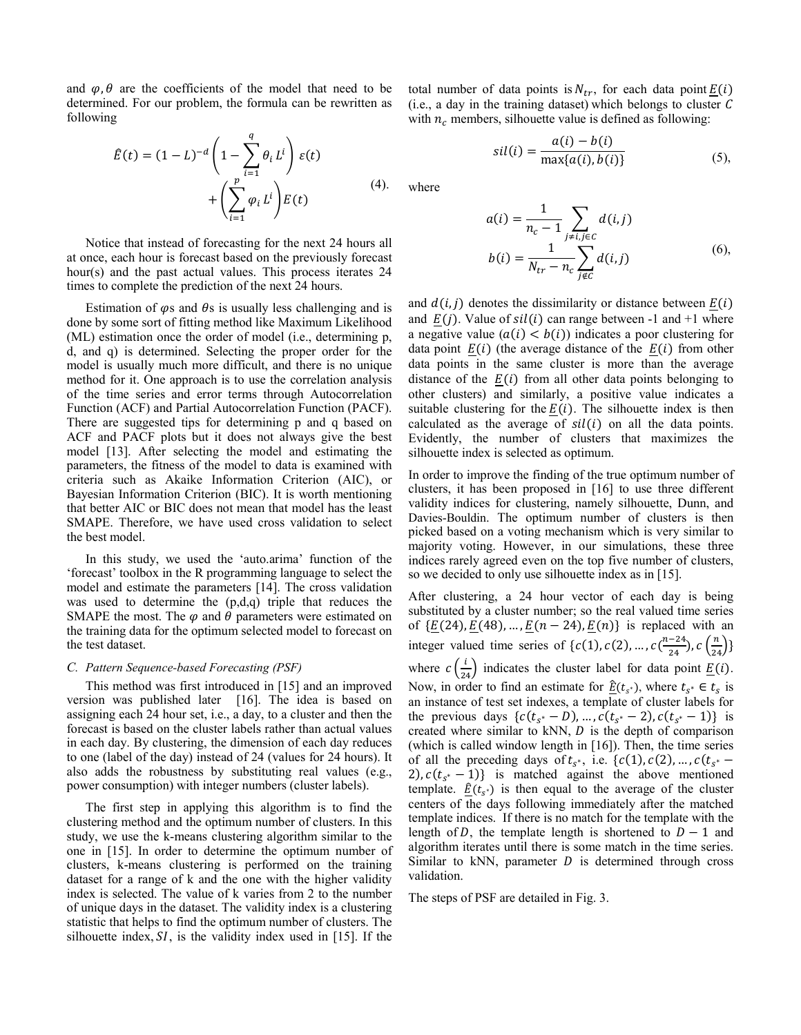and  $\varphi$ ,  $\theta$  are the coefficients of the model that need to be determined. For our problem, the formula can be rewritten as following

$$
\hat{E}(t) = (1 - L)^{-d} \left( 1 - \sum_{i=1}^{q} \theta_i L^i \right) \varepsilon(t)
$$

$$
+ \left( \sum_{i=1}^{p} \varphi_i L^i \right) E(t) \tag{4}.
$$

Notice that instead of forecasting for the next 24 hours all at once, each hour is forecast based on the previously forecast hour(s) and the past actual values. This process iterates 24 times to complete the prediction of the next 24 hours.

Estimation of  $\varphi$ s and  $\theta$ s is usually less challenging and is done by some sort of fitting method like Maximum Likelihood (ML) estimation once the order of model (i.e., determining p, d, and q) is determined. Selecting the proper order for the model is usually much more difficult, and there is no unique method for it. One approach is to use the correlation analysis of the time series and error terms through Autocorrelation Function (ACF) and Partial Autocorrelation Function (PACF). There are suggested tips for determining p and q based on ACF and PACF plots but it does not always give the best model [13]. After selecting the model and estimating the parameters, the fitness of the model to data is examined with criteria such as Akaike Information Criterion (AIC), or Bayesian Information Criterion (BIC). It is worth mentioning that better AIC or BIC does not mean that model has the least SMAPE. Therefore, we have used cross validation to select the best model.

In this study, we used the 'auto.arima' function of the 'forecast' toolbox in the R programming language to select the model and estimate the parameters [14]. The cross validation was used to determine the (p,d,q) triple that reduces the SMAPE the most. The  $\varphi$  and  $\theta$  parameters were estimated on the training data for the optimum selected model to forecast on the test dataset.

## *C. Pattern Sequence-based Forecasting (PSF)*

This method was first introduced in [15] and an improved version was published later [16]. The idea is based on assigning each 24 hour set, i.e., a day, to a cluster and then the forecast is based on the cluster labels rather than actual values in each day. By clustering, the dimension of each day reduces to one (label of the day) instead of 24 (values for 24 hours). It also adds the robustness by substituting real values (e.g., power consumption) with integer numbers (cluster labels).

The first step in applying this algorithm is to find the clustering method and the optimum number of clusters. In this study, we use the k-means clustering algorithm similar to the one in [15]. In order to determine the optimum number of clusters, k-means clustering is performed on the training dataset for a range of k and the one with the higher validity index is selected. The value of k varies from 2 to the number of unique days in the dataset. The validity index is a clustering statistic that helps to find the optimum number of clusters. The silhouette index,  $SI$ , is the validity index used in [15]. If the

total number of data points is  $N_{tr}$ , for each data point  $\underline{E}(i)$  $(i.e., a day in the training dataset) which belongs to cluster  $C$$ with  $n_c$  members, silhouette value is defined as following:

$$
sil(i) = \frac{a(i) - b(i)}{\max\{a(i), b(i)\}}
$$
(5),

where

$$
a(i) = \frac{1}{n_c - 1} \sum_{j \neq i, j \in C} d(i, j)
$$
  

$$
b(i) = \frac{1}{N_{tr} - n_c} \sum_{j \notin C} d(i, j)
$$
 (6),

and  $d(i, j)$  denotes the dissimilarity or distance between  $\underline{E}(i)$ and  $E(j)$ . Value of  $sil(i)$  can range between -1 and +1 where a negative value  $(a(i) < b(i))$  indicates a poor clustering for data point  $E(i)$  (the average distance of the  $E(i)$  from other data points in the same cluster is more than the average distance of the  $E(i)$  from all other data points belonging to other clusters) and similarly, a positive value indicates a suitable clustering for the  $E(i)$ . The silhouette index is then calculated as the average of  $sil(i)$  on all the data points. Evidently, the number of clusters that maximizes the silhouette index is selected as optimum.

In order to improve the finding of the true optimum number of clusters, it has been proposed in [16] to use three different validity indices for clustering, namely silhouette, Dunn, and Davies-Bouldin. The optimum number of clusters is then picked based on a voting mechanism which is very similar to majority voting. However, in our simulations, these three indices rarely agreed even on the top five number of clusters, so we decided to only use silhouette index as in [15].

After clustering, a 24 hour vector of each day is being substituted by a cluster number; so the real valued time series of  $\{\underline{E}(24), \underline{E}(48), \dots, \underline{E}(n-24), \underline{E}(n)\}\$ is replaced with an integer valued time series of  $\{c(1), c(2), ..., c(\frac{n-24}{24}), c(\frac{n}{24})\}$ where  $c\left(\frac{i}{24}\right)$  indicates the cluster label for data point  $\underline{E}(i)$ . Now, in order to find an estimate for  $\underline{\hat{E}}(t_{s^*})$ , where  $t_{s^*} \in t_s$  is an instance of test set indexes, a template of cluster labels for the previous days  $\{c(t_{s^*} - D), ..., c(t_{s^*} - 2), c(t_{s^*} - 1)\}$  is created where similar to kNN,  $D$  is the depth of comparison (which is called window length in [16]). Then, the time series of all the preceding days of  $t_{s^*}$ , i.e.  $\{c(1), c(2), ..., c(t_{s^*} - \}$ 2),  $c(t_{s^*} - 1)$  is matched against the above mentioned template.  $\underline{\hat{E}}(t_{s^*})$  is then equal to the average of the cluster centers of the days following immediately after the matched template indices. If there is no match for the template with the length of D, the template length is shortened to  $D - 1$  and algorithm iterates until there is some match in the time series. Similar to kNN, parameter  $D$  is determined through cross validation.

The steps of PSF are detailed in Fig. 3.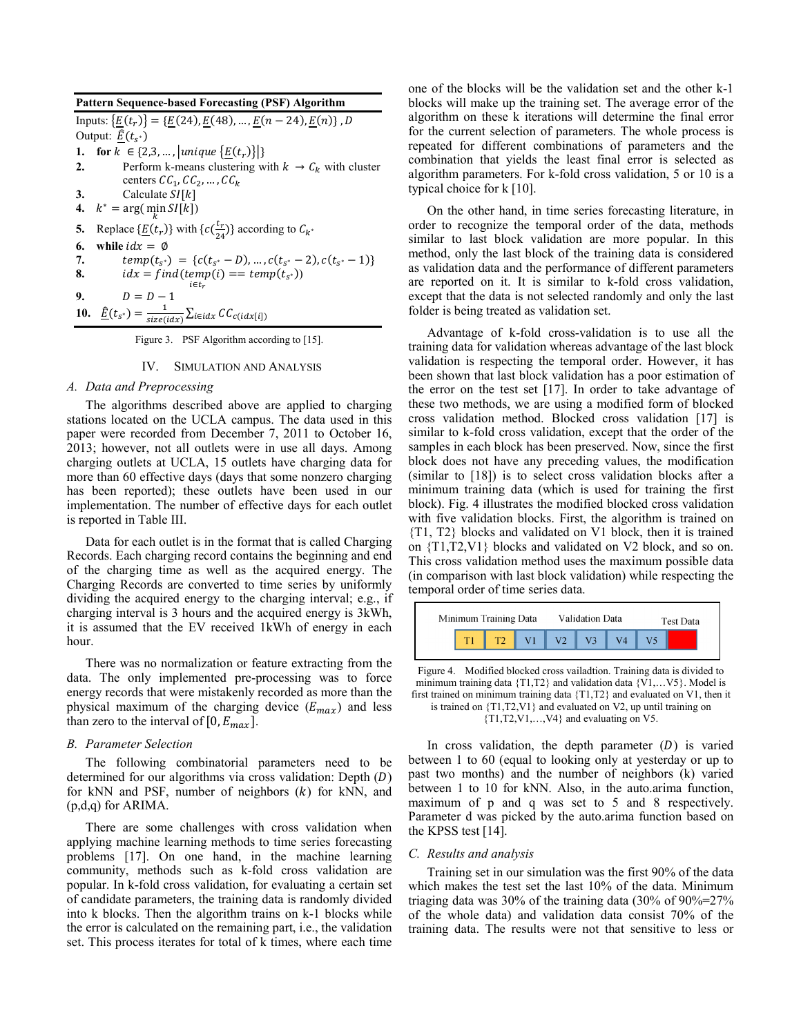**Pattern Sequence-based Forecasting (PSF) Algorithm**  Inputs:  $\{\underline{E}(t_r)\} = \{\underline{E}(24), \underline{E}(48), \dots, \underline{E}(n-24), \underline{E}(n)\}, D$ Output:  $\underline{\hat{E}}(t_{s^*})$ **1. for**  $k \in \{2,3,...,|\text{unique } \{\underline{E}(t_r)\}|\}$ **2.** Perform k-means clustering with  $k \rightarrow C_k$  with cluster centers  $CC_1, CC_2, ..., CC_k$ **3.** Calculate  $SI[k]$ **4.**  $k^* = \arg(\min_k SI[k])$ **5.** Replace  $\{\underline{E}(t_r)\}\$  with  $\{c(\frac{t_r}{24})\}\$  according to  $C_{k^*}$ **6.** while  $idx = \emptyset$ <br>**7.** *temp(t<sub>ex</sub>)***</del>** 7.  $temp(t_{s^*}) = \{c(t_{s^*} - D), ..., c(t_{s^*} - 2), c(t_{s^*} - 1)\}\$ **8.** .G-kqr - kqr- <sup>∗</sup>)  $i \in t_r$ **9.**  $D = D - 1$ **10.**  $\underline{\hat{E}}(t_{s^*}) = \frac{1}{size(i+1)}$  $\frac{1}{size(idx)}\sum_{i \in idx} CC_{c(idx[i])}$ 

Figure 3. PSF Algorithm according to [15].

## IV. SIMULATION AND ANALYSIS

## *A. Data and Preprocessing*

The algorithms described above are applied to charging stations located on the UCLA campus. The data used in this paper were recorded from December 7, 2011 to October 16, 2013; however, not all outlets were in use all days. Among charging outlets at UCLA, 15 outlets have charging data for more than 60 effective days (days that some nonzero charging has been reported); these outlets have been used in our implementation. The number of effective days for each outlet is reported in Table III.

Data for each outlet is in the format that is called Charging Records. Each charging record contains the beginning and end of the charging time as well as the acquired energy. The Charging Records are converted to time series by uniformly dividing the acquired energy to the charging interval; e.g., if charging interval is 3 hours and the acquired energy is 3kWh, it is assumed that the EV received 1kWh of energy in each hour.

There was no normalization or feature extracting from the data. The only implemented pre-processing was to force energy records that were mistakenly recorded as more than the physical maximum of the charging device  $(E_{max})$  and less than zero to the interval of  $[0, E_{max}]$ .

#### *B. Parameter Selection*

The following combinatorial parameters need to be determined for our algorithms via cross validation: Depth  $(D)$ for kNN and PSF, number of neighbors  $(k)$  for kNN, and (p,d,q) for ARIMA.

There are some challenges with cross validation when applying machine learning methods to time series forecasting problems [17]. On one hand, in the machine learning community, methods such as k-fold cross validation are popular. In k-fold cross validation, for evaluating a certain set of candidate parameters, the training data is randomly divided into k blocks. Then the algorithm trains on k-1 blocks while the error is calculated on the remaining part, i.e., the validation set. This process iterates for total of k times, where each time one of the blocks will be the validation set and the other k-1 blocks will make up the training set. The average error of the algorithm on these k iterations will determine the final error for the current selection of parameters. The whole process is repeated for different combinations of parameters and the combination that yields the least final error is selected as algorithm parameters. For k-fold cross validation, 5 or 10 is a typical choice for k [10].

On the other hand, in time series forecasting literature, in order to recognize the temporal order of the data, methods similar to last block validation are more popular. In this method, only the last block of the training data is considered as validation data and the performance of different parameters are reported on it. It is similar to k-fold cross validation, except that the data is not selected randomly and only the last folder is being treated as validation set.

Advantage of k-fold cross-validation is to use all the training data for validation whereas advantage of the last block validation is respecting the temporal order. However, it has been shown that last block validation has a poor estimation of the error on the test set [17]. In order to take advantage of these two methods, we are using a modified form of blocked cross validation method. Blocked cross validation [17] is similar to k-fold cross validation, except that the order of the samples in each block has been preserved. Now, since the first block does not have any preceding values, the modification (similar to [18]) is to select cross validation blocks after a minimum training data (which is used for training the first block). Fig. 4 illustrates the modified blocked cross validation with five validation blocks. First, the algorithm is trained on {T1, T2} blocks and validated on V1 block, then it is trained on {T1,T2,V1} blocks and validated on V2 block, and so on. This cross validation method uses the maximum possible data (in comparison with last block validation) while respecting the temporal order of time series data.



Figure 4. Modified blocked cross vailadtion. Training data is divided to minimum training data  $\{T1, T2\}$  and validation data  $\{V1, \ldots V5\}$ . Model is first trained on minimum training data {T1,T2} and evaluated on V1, then it is trained on {T1,T2,V1} and evaluated on V2, up until training on

{T1,T2,V1,…,V4} and evaluating on V5.

In cross validation, the depth parameter  $(D)$  is varied between 1 to 60 (equal to looking only at yesterday or up to past two months) and the number of neighbors (k) varied between 1 to 10 for kNN. Also, in the auto.arima function, maximum of p and q was set to 5 and 8 respectively. Parameter d was picked by the auto.arima function based on the KPSS test [14].

## *C. Results and analysis*

Training set in our simulation was the first 90% of the data which makes the test set the last 10% of the data. Minimum triaging data was 30% of the training data  $(30\% \text{ of } 90\% = 27\%)$ of the whole data) and validation data consist 70% of the training data. The results were not that sensitive to less or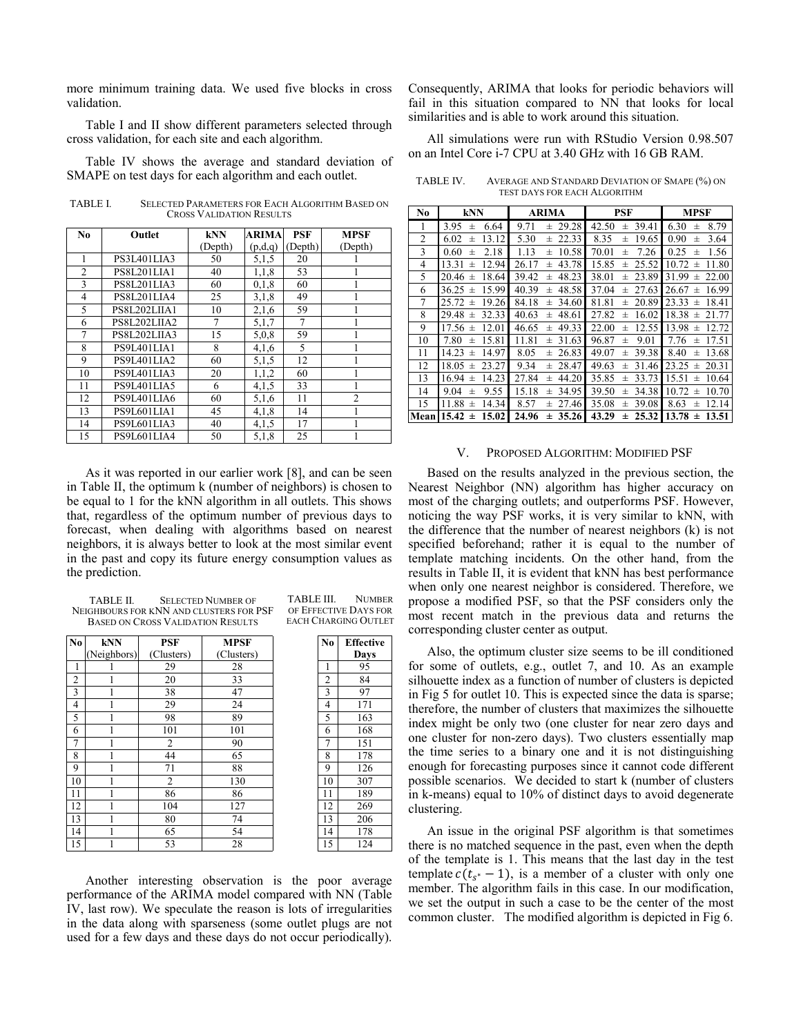more minimum training data. We used five blocks in cross validation.

Table I and II show different parameters selected through cross validation, for each site and each algorithm.

Table IV shows the average and standard deviation of SMAPE on test days for each algorithm and each outlet.

TABLE I. SELECTED PARAMETERS FOR EACH ALGORITHM BASED ON CROSS VALIDATION RESULTS

| No             | Outlet       | <b>kNN</b>     | <b>ARIMA</b> | <b>PSF</b> | <b>MPSF</b>    |
|----------------|--------------|----------------|--------------|------------|----------------|
|                |              | (Depth)        | (p,d,q)      | (Depth)    | (Depth)        |
|                | PS3L401LIA3  | 50             | 5,1,5        | 20         |                |
| $\overline{2}$ | PS8L201LIA1  | 40             | 1,1,8        | 53         |                |
| 3              | PS8L201LIA3  | 60             | 0.1.8        | 60         |                |
| 4              | PS8L201LIA4  | 25             | 3,1,8        | 49         |                |
| 5              | PS8L202LIIA1 | 10             | 2,1,6        | 59         |                |
| 6              | PS8L202LIIA2 | $\overline{7}$ | 5,1,7        | 7          |                |
| 7              | PS8L202LIIA3 | 15             | 5,0,8        | 59         |                |
| 8              | PS9L401LIA1  | 8              | 4,1,6        | 5          |                |
| 9              | PS9L401LIA2  | 60             | 5,1,5        | 12         |                |
| 10             | PS9L401LIA3  | 20             | 1,1,2        | 60         |                |
| 11             | PS9L401LIA5  | 6              | 4.1.5        | 33         |                |
| 12             | PS9L401LIA6  | 60             | 5,1,6        | 11         | $\overline{c}$ |
| 13             | PS9L601LIA1  | 45             | 4,1,8        | 14         |                |
| 14             | PS9L601LIA3  | 40             | 4,1,5        | 17         |                |
| 15             | PS9L601LIA4  | 50             | 5.1.8        | 25         |                |

As it was reported in our earlier work [8], and can be seen in Table II, the optimum k (number of neighbors) is chosen to be equal to 1 for the kNN algorithm in all outlets. This shows that, regardless of the optimum number of previous days to forecast, when dealing with algorithms based on nearest neighbors, it is always better to look at the most similar event in the past and copy its future energy consumption values as the prediction.

| <b>TABLE II.</b> | <b>SELECTED NUMBER OF</b>                |
|------------------|------------------------------------------|
|                  | NEIGHBOURS FOR KNN AND CLUSTERS FOR PSF  |
|                  | <b>BASED ON CROSS VALIDATION RESULTS</b> |

| N <sub>0</sub> | <b>kNN</b>  | <b>PSF</b>     | <b>MPSF</b> | N <sub>0</sub> | Effecti |
|----------------|-------------|----------------|-------------|----------------|---------|
|                | (Neighbors) | (Clusters)     | (Clusters)  |                | Days    |
| 1              |             | 29             | 28          | 1              | 95      |
| $\overline{c}$ |             | 20             | 33          | $\overline{c}$ | 84      |
| 3              |             | 38             | 47          | 3              | 97      |
| 4              |             | 29             | 24          | 4              | 171     |
| 5              |             | 98             | 89          | 5              | 163     |
| 6              |             | 101            | 101         | 6              | 168     |
| 7              |             | 2              | 90          | 7              | 151     |
| 8              |             | 44             | 65          | 8              | 178     |
| 9              |             | 71             | 88          | 9              | 126     |
| 10             |             | $\overline{c}$ | 130         | 10             | 307     |
| 11             |             | 86             | 86          | 11             | 189     |
| 12             |             | 104            | 127         | 12             | 269     |
| 13             |             | 80             | 74          | 13             | 206     |
| 14             |             | 65             | 54          | 14             | 178     |
| 15             |             | 53             | 28          | 15             | 124     |

TABLE III. NUMBER OF EFFECTIVE DAYS FOR EACH CHARGING OUTLET

| N <sub>0</sub>  | <b>Effective</b> |
|-----------------|------------------|
|                 | Days             |
| 1               | 95               |
|                 | 84               |
| $rac{2}{3}$     | 97               |
| $\overline{4}$  | 171              |
| 5               | 163              |
| 6               | 168              |
| $\overline{7}$  | 151              |
| 8               | 178              |
| $\overline{9}$  | 126              |
| 10              | 307              |
| 11              | 189              |
| 12              | 269              |
| 13              | 206              |
| 14              | 178              |
| $\overline{15}$ | 124              |

Another interesting observation is the poor average performance of the ARIMA model compared with NN (Table IV, last row). We speculate the reason is lots of irregularities in the data along with sparseness (some outlet plugs are not used for a few days and these days do not occur periodically).

Consequently, ARIMA that looks for periodic behaviors will fail in this situation compared to NN that looks for local similarities and is able to work around this situation.

All simulations were run with RStudio Version 0.98.507 on an Intel Core i-7 CPU at 3.40 GHz with 16 GB RAM.

TABLE IV. AVERAGE AND STANDARD DEVIATION OF SMAPE (%) ON TEST DAYS FOR EACH ALGORITHM

| N <sub>0</sub> | <b>kNN</b>           | ARIMA               | PSF                 | <b>MPSF</b>          |
|----------------|----------------------|---------------------|---------------------|----------------------|
| 1              | 6.64                 | 29.28               | 39.41               | 6.30                 |
|                | 3.95                 | 9.71                | 42.50               | 8.79                 |
|                | 士                    | 士                   | 士                   | 士                    |
| 2              | 13.12                | 5.30                | 8.35                | 0.90                 |
|                | 6.02                 | 22.33               | 19.65               | 3.64                 |
|                | 士                    | $\pm$               | $\pm$               | $\pm$                |
| 3              | 2.18                 | 1.13                | 70.01               | 0.25                 |
|                | 0.60                 | 10.58               | 7.26                | 1.56                 |
|                | 士                    | 士                   | 士                   | 士                    |
| 4              | 12.94                | 43.78               | 15.85               | 10.72                |
|                | 13.31                | 26.17               | 25.52               | 11.80                |
|                | $\pm$                | $\pm$               | $\pm$               | $_{\pm}$             |
| 5              | 18.64                | 39.42               | 38.01               | 31.99                |
|                | 20.46                | 48.23               | 23.89               | 22.00                |
|                | 士                    | 士                   | 士                   | 士                    |
| 6              | 36.25                | 40.39               | 37.04               | 16.99                |
|                | 15.99                | 48.58               | 27.63               | 26.67                |
|                | $_{\pm}$             | 士                   | 士                   | 士                    |
| 7              | 25.72                | 84.18               | 81.81               | 23.33                |
|                | 19.26                | 34.60               | 20.89               | 18.41                |
|                | $_{\pm}$             | 士                   | 士                   | 士                    |
| 8              | 29.48                | 40.63               | 27.82               | 18.38                |
|                | 32.33                | 48.61               | 16.02               | 21.77                |
|                | $\pm$                | $\pm$               | 士                   | $\pm$                |
| 9              | 12.01                | 49.33               | 22.00               | 13.98                |
|                | 17.56                | 46.65               | 12.55               | 12.72                |
|                | $_{\pm}$             | 士                   | 士                   | 士                    |
| 10             | 15.81                | 11.81               | 96.87               | 7.76                 |
|                | 7.80                 | 31.63               | 9.01                | 17.51                |
|                | $\pm$                | 士                   | 士                   | $\pm$                |
| 11             | 14.97                | 26.83               | 49.07               | 8.40                 |
|                | 14.23                | 8.05                | 39.38               | 13.68                |
|                | $_{\pm}$             | 士                   | 士                   | 士                    |
| 12             | 18.05                | 9.34                | 49.63               | 23.25                |
|                | 23.27                | 28.47               | 31.46               | 20.31                |
|                | $_{\pm}$             | 士                   | 士                   | 士                    |
| 13             | 14.23                | 27.84               | 35.85               | 15.51                |
|                | 16.94                | 44.20               | 33.73               | 10.64                |
|                | $_{\pm}$             | 士                   | 士                   | $_{\pm}$             |
| 14             | 9.55                 | 15.18               | 39.50               | 10.72                |
|                | 9.04                 | 34.95               | 34.38               | 10.70                |
|                | $_{\pm}$             | 士                   | 士                   | $_{\pm}$             |
| 15             | 11.88                | 8.57                | 35.08               | 8.63                 |
|                | 14.34                | 27.46               | 39.08               | 12.14                |
|                | 士                    | $\pm$               | $\pm$               | 士                    |
| Mean           | 15.02<br>$15.42 \pm$ | 24.96<br>35.26<br>士 | 43.29<br>25.32<br>士 | $13.78 \pm$<br>13.51 |

## V. PROPOSED ALGORITHM: MODIFIED PSF

Based on the results analyzed in the previous section, the Nearest Neighbor (NN) algorithm has higher accuracy on most of the charging outlets; and outperforms PSF. However, noticing the way PSF works, it is very similar to kNN, with the difference that the number of nearest neighbors (k) is not specified beforehand; rather it is equal to the number of template matching incidents. On the other hand, from the results in Table II, it is evident that kNN has best performance when only one nearest neighbor is considered. Therefore, we propose a modified PSF, so that the PSF considers only the most recent match in the previous data and returns the corresponding cluster center as output.

Also, the optimum cluster size seems to be ill conditioned for some of outlets, e.g., outlet 7, and 10. As an example silhouette index as a function of number of clusters is depicted in Fig 5 for outlet 10. This is expected since the data is sparse; therefore, the number of clusters that maximizes the silhouette index might be only two (one cluster for near zero days and one cluster for non-zero days). Two clusters essentially map the time series to a binary one and it is not distinguishing enough for forecasting purposes since it cannot code different possible scenarios. We decided to start k (number of clusters in k-means) equal to 10% of distinct days to avoid degenerate clustering.

An issue in the original PSF algorithm is that sometimes there is no matched sequence in the past, even when the depth of the template is 1. This means that the last day in the test template  $c(t_{s^*} - 1)$ , is a member of a cluster with only one member. The algorithm fails in this case. In our modification, we set the output in such a case to be the center of the most common cluster. The modified algorithm is depicted in Fig 6.